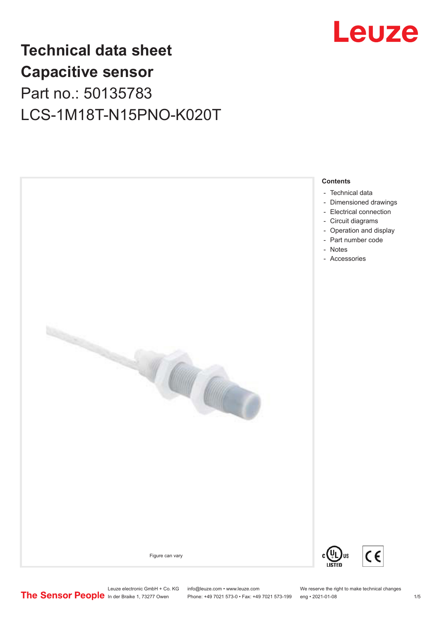

## **Technical data sheet Capacitive sensor** Part no.: 50135783 LCS-1M18T-N15PNO-K020T



- [Technical data](#page-1-0)
- [Dimensioned drawings](#page-2-0)
- [Electrical connection](#page-2-0)
- [Circuit diagrams](#page-3-0)
- [Operation and display](#page-3-0) - [Part number code](#page-3-0)
- [Notes](#page-4-0)
- [Accessories](#page-4-0)





Leuze electronic GmbH + Co. KG info@leuze.com • www.leuze.com We reserve the right to make technical changes<br>
The Sensor People in der Braike 1, 73277 Owen Phone: +49 7021 573-0 • Fax: +49 7021 573-199 eng • 2021-01-08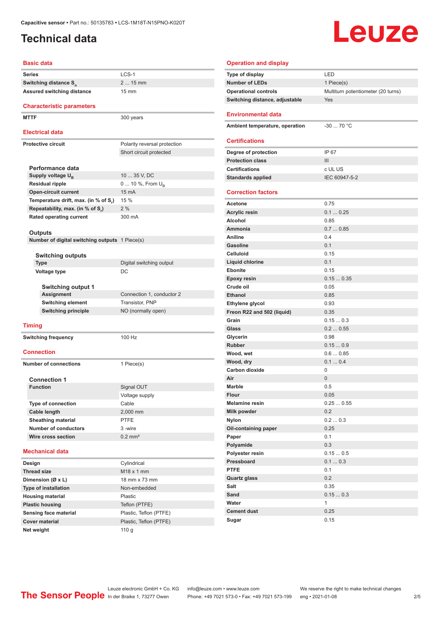### <span id="page-1-0"></span>**Technical data**

**Series** LCS-1

**Basic data**

# **Leuze**

#### **Operation and display**

| Operation and display          |                                    |
|--------------------------------|------------------------------------|
| Type of display                | LED                                |
| <b>Number of LEDs</b>          | 1 Piece(s)                         |
| <b>Operational controls</b>    | Multiturn potentiometer (20 turns) |
| Switching distance, adjustable | Yes                                |
| <b>Environmental data</b>      |                                    |
| Ambient temperature, operation | $-30$ 70 °C                        |
| <b>Certifications</b>          |                                    |
| Degree of protection           | IP 67                              |
| <b>Protection class</b>        | III                                |
| <b>Certifications</b>          | c UL US                            |
| <b>Standards applied</b>       | IEC 60947-5-2                      |
| <b>Correction factors</b>      |                                    |
| <b>Acetone</b>                 | 0.75                               |
| <b>Acrylic resin</b>           | 0.10.25                            |
| Alcohol                        | 0.85                               |
| Ammonia                        | 0.70.85                            |
| <b>Aniline</b>                 | 0.4                                |
| <b>Gasoline</b>                | 0.1                                |
| Celluloid                      | 0.15                               |
| <b>Liquid chlorine</b>         | 0.1                                |
| <b>Ebonite</b>                 | 0.15                               |
| <b>Epoxy resin</b>             | 0.150.35                           |
| Crude oil                      | 0.05                               |
| <b>Ethanol</b>                 | 0.85                               |
| Ethylene glycol                | 0.93                               |
| Freon R22 and 502 (liquid)     | 0.35                               |
| Grain                          | 0.150.3                            |
| Glass                          | 0.20.55                            |
| Glycerin                       | 0.98                               |
| <b>Rubber</b>                  | 0.150.9                            |
| Wood, wet                      | 0.60.85                            |
| Wood, dry                      | 0.10.4                             |
| <b>Carbon dioxide</b>          | 0                                  |
| Air                            | $\mathbf{0}$                       |
| Marble                         | 0.5                                |
| Flour                          | 0.05                               |
| <b>Melamine resin</b>          | 0.250.55                           |
| Milk powder                    | 0.2                                |
| <b>Nylon</b>                   | 0.20.3                             |
| Oil-containing paper           | 0.25                               |
| Paper                          | 0.1                                |
| Polyamide                      | 0.3                                |
| Polyester resin                | $0.15\ldots 0.5$                   |
| Pressboard                     | 0.10.3                             |
| <b>PTFE</b>                    | 0.1                                |
| <b>Quartz glass</b>            | 0.2                                |
| Salt                           | 0.35                               |
| Sand                           | 0.150.3                            |
| Water                          | $\mathbf{1}$                       |
| <b>Cement dust</b>             | 0.25                               |
| Sugar                          | 0.15                               |
|                                |                                    |

| Switching distance S <sub>n</sub>              | $215$ mm                     |  |
|------------------------------------------------|------------------------------|--|
| Assured switching distance                     | $15 \text{ mm}$              |  |
|                                                |                              |  |
| <b>Characteristic parameters</b>               |                              |  |
| <b>MTTF</b>                                    | 300 years                    |  |
| <b>Electrical data</b>                         |                              |  |
| <b>Protective circuit</b>                      | Polarity reversal protection |  |
|                                                | Short circuit protected      |  |
|                                                |                              |  |
| Performance data                               |                              |  |
| Supply voltage U <sub>R</sub>                  | 10  35 V. DC                 |  |
| <b>Residual ripple</b>                         | 0  10 %, From U <sub>p</sub> |  |
| <b>Open-circuit current</b>                    | 15 mA                        |  |
| Temperature drift, max. (in % of S,)           | 15 %                         |  |
| Repeatability, max. (in % of S.)               | 2%                           |  |
| <b>Rated operating current</b>                 | 300 mA                       |  |
|                                                |                              |  |
| Outputs                                        |                              |  |
| Number of digital switching outputs 1 Piece(s) |                              |  |
| <b>Switching outputs</b>                       |                              |  |
| <b>Type</b>                                    | Digital switching output     |  |
| <b>Voltage type</b>                            | DC                           |  |
|                                                |                              |  |
| <b>Switching output 1</b>                      |                              |  |
| Assignment                                     | Connection 1, conductor 2    |  |
| <b>Switching element</b>                       | Transistor, PNP              |  |
| <b>Switching principle</b>                     | NO (normally open)           |  |
| <b>Timing</b>                                  |                              |  |
|                                                |                              |  |
| <b>Switching frequency</b>                     | 100 Hz                       |  |
| <b>Connection</b>                              |                              |  |
|                                                |                              |  |
| <b>Number of connections</b>                   | 1 Piece(s)                   |  |
| <b>Connection 1</b>                            |                              |  |
| <b>Function</b>                                | Signal OUT                   |  |
|                                                | Voltage supply               |  |
| <b>Type of connection</b>                      | Cable                        |  |
| <b>Cable length</b>                            | 2,000 mm                     |  |
| <b>Sheathing material</b>                      | <b>PTFE</b>                  |  |
| <b>Number of conductors</b>                    | 3-wire                       |  |
| Wire cross section                             | $0.2$ mm <sup>2</sup>        |  |
|                                                |                              |  |
| <b>Mechanical data</b>                         |                              |  |
| Design                                         | Cylindrical                  |  |
| <b>Thread size</b>                             | M <sub>18</sub> x 1 mm       |  |
| Dimension (Ø x L)                              | 18 mm x 73 mm                |  |
| <b>Type of installation</b>                    | Non-embedded                 |  |
| <b>Housing material</b>                        | Plastic                      |  |
| <b>Plastic housing</b>                         | Teflon (PTFE)                |  |
| Sensing face material                          | Plastic, Teflon (PTFE)       |  |
| <b>Cover material</b>                          | Plastic, Teflon (PTFE)       |  |

**Net weight** 110 g

Leuze electronic GmbH + Co. KG info@leuze.com • www.leuze.com We reserve the right to make technical changes ln der Braike 1, 73277 Owen Phone: +49 7021 573-0 • Fax: +49 7021 573-199 eng • 2021-01-08 2/5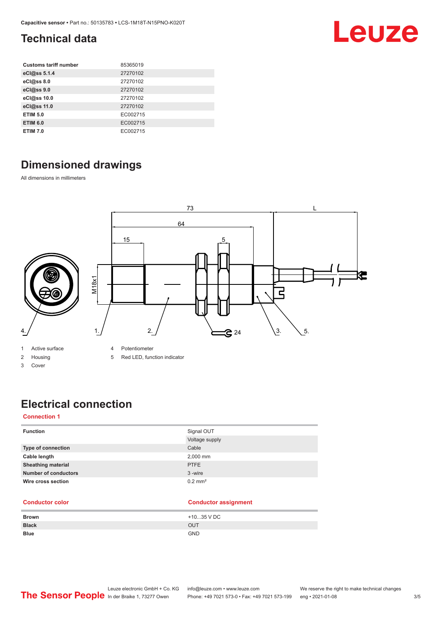### <span id="page-2-0"></span>**Technical data**

| <b>Customs tariff number</b> | 85365019 |
|------------------------------|----------|
| eCl@ss 5.1.4                 | 27270102 |
| eCl@ss 8.0                   | 27270102 |
| eCl@ss 9.0                   | 27270102 |
| eCl@ss 10.0                  | 27270102 |
| eCl@ss 11.0                  | 27270102 |
| <b>ETIM 5.0</b>              | EC002715 |
| <b>ETIM 6.0</b>              | EC002715 |
| <b>ETIM 7.0</b>              | EC002715 |

### **Dimensioned drawings**

All dimensions in millimeters



1 Active surface

- 2 Housing
- 3 Cover

4 Potentiometer

5 Red LED, function indicator

### **Electrical connection**

### **Connection 1**

| Signal OUT            |
|-----------------------|
| Voltage supply        |
| Cable                 |
| 2,000 mm              |
| <b>PTFE</b>           |
| 3-wire                |
| $0.2$ mm <sup>2</sup> |
|                       |

#### **Conductor color Conductor assignment**

| <b>Brown</b> | +1035 V DC |
|--------------|------------|
| <b>Black</b> | <b>OUT</b> |
| <b>Blue</b>  | <b>GND</b> |

Leuze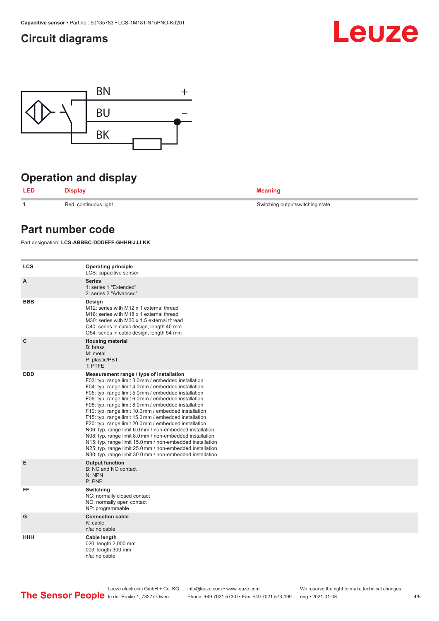### <span id="page-3-0"></span>**Circuit diagrams**





### **Operation and display**

**LED Display Meaning**

**1 1** Red, continuous light Switching output/switching state

### **Part number code**

Part designation: **LCS-ABBBC-DDDEFF-GHHHIJJJ KK**

| <b>LCS</b>  | <b>Operating principle</b><br>LCS: capacitive sensor                                                                                                                                                                                                                                                                                                                                                                                                                                                                                                                                                                                                                                                                                                                                                                       |
|-------------|----------------------------------------------------------------------------------------------------------------------------------------------------------------------------------------------------------------------------------------------------------------------------------------------------------------------------------------------------------------------------------------------------------------------------------------------------------------------------------------------------------------------------------------------------------------------------------------------------------------------------------------------------------------------------------------------------------------------------------------------------------------------------------------------------------------------------|
| A           | <b>Series</b><br>1: series 1 "Extended"<br>2: series 2 "Advanced"                                                                                                                                                                                                                                                                                                                                                                                                                                                                                                                                                                                                                                                                                                                                                          |
| <b>BBB</b>  | Design<br>M12: series with M12 x 1 external thread<br>M18: series with M18 x 1 external thread<br>M30: series with M30 x 1.5 external thread<br>Q40: series in cubic design, length 40 mm<br>Q54: series in cubic design, length 54 mm                                                                                                                                                                                                                                                                                                                                                                                                                                                                                                                                                                                     |
| $\mathbf c$ | <b>Housing material</b><br>B: brass<br>M: metal<br>P: plastic/PBT<br>T: PTFE                                                                                                                                                                                                                                                                                                                                                                                                                                                                                                                                                                                                                                                                                                                                               |
| <b>DDD</b>  | Measurement range / type of installation<br>F03: typ. range limit 3.0 mm / embedded installation<br>F04: typ. range limit 4.0 mm / embedded installation<br>F05: typ. range limit 5.0 mm / embedded installation<br>F06: typ. range limit 6.0 mm / embedded installation<br>F08: typ. range limit 8.0 mm / embedded installation<br>F10: typ. range limit 10.0 mm / embedded installation<br>F15: typ. range limit 15.0 mm / embedded installation<br>F20: typ. range limit 20.0 mm / embedded installation<br>N06: typ. range limit 6.0 mm / non-embedded installation<br>N08: typ. range limit 8.0 mm / non-embedded installation<br>N15: typ. range limit 15.0 mm / non-embedded installation<br>N25: typ. range limit 25.0 mm / non-embedded installation<br>N30: typ. range limit 30.0 mm / non-embedded installation |
| E           | <b>Output function</b><br>B: NC and NO contact<br>N: NPN<br>P: PNP                                                                                                                                                                                                                                                                                                                                                                                                                                                                                                                                                                                                                                                                                                                                                         |
| FF          | Switching<br>NC: normally closed contact<br>NO: normally open contact<br>NP: programmable                                                                                                                                                                                                                                                                                                                                                                                                                                                                                                                                                                                                                                                                                                                                  |
| G           | <b>Connection cable</b><br>$K:$ cable<br>n/a: no cable                                                                                                                                                                                                                                                                                                                                                                                                                                                                                                                                                                                                                                                                                                                                                                     |
| ннн         | Cable length<br>020: length 2,000 mm<br>003: length 300 mm<br>n/a: no cable                                                                                                                                                                                                                                                                                                                                                                                                                                                                                                                                                                                                                                                                                                                                                |